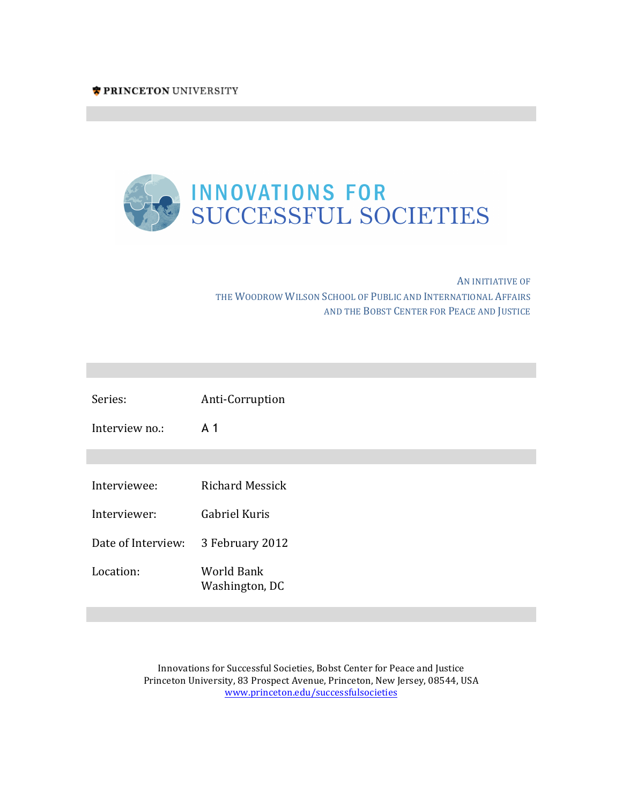

AN INITIATIVE OF THE WOODROW WILSON SCHOOL OF PUBLIC AND INTERNATIONAL AFFAIRS AND THE BOBST CENTER FOR PEACE AND JUSTICE

**Innovations for Successful Societies Innovations for Successful Societies**

**Innovations for Successful Societies Innovations for Successful Societies**

| Series:            | Anti-Corruption              |
|--------------------|------------------------------|
| Interview no.:     | A 1                          |
|                    |                              |
| Interviewee:       | <b>Richard Messick</b>       |
| Interviewer:       | Gabriel Kuris                |
| Date of Interview: | 3 February 2012              |
| Location:          | World Bank<br>Washington, DC |

Innovations for Successful Societies, Bobst Center for Peace and Justice Princeton University, 83 Prospect Avenue, Princeton, New Jersey, 08544, USA www.princeton.edu/successfulsocieties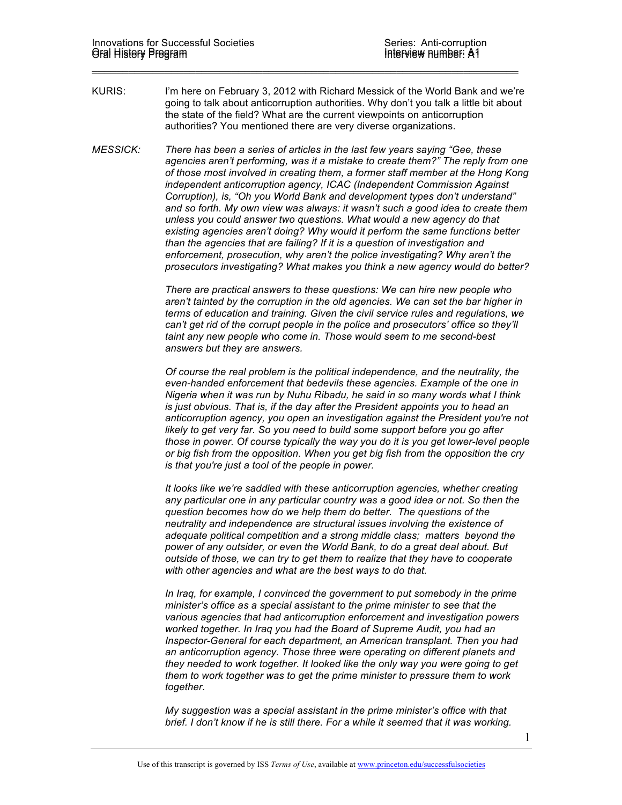KURIS: I'm here on February 3, 2012 with Richard Messick of the World Bank and we're going to talk about anticorruption authorities. Why don't you talk a little bit about the state of the field? What are the current viewpoints on anticorruption authorities? You mentioned there are very diverse organizations.

 $\_$ 

*MESSICK: There has been a series of articles in the last few years saying "Gee, these agencies aren't performing, was it a mistake to create them?" The reply from one of those most involved in creating them, a former staff member at the Hong Kong independent anticorruption agency, ICAC (Independent Commission Against Corruption), is, "Oh you World Bank and development types don't understand" and so forth. My own view was always: it wasn't such a good idea to create them unless you could answer two questions. What would a new agency do that existing agencies aren't doing? Why would it perform the same functions better than the agencies that are failing? If it is a question of investigation and enforcement, prosecution, why aren't the police investigating? Why aren't the prosecutors investigating? What makes you think a new agency would do better?* 

> *There are practical answers to these questions: We can hire new people who aren't tainted by the corruption in the old agencies. We can set the bar higher in terms of education and training. Given the civil service rules and regulations, we can't get rid of the corrupt people in the police and prosecutors' office so they'll taint any new people who come in. Those would seem to me second-best answers but they are answers.*

*Of course the real problem is the political independence, and the neutrality, the even-handed enforcement that bedevils these agencies. Example of the one in Nigeria when it was run by Nuhu Ribadu, he said in so many words what I think is just obvious. That is, if the day after the President appoints you to head an anticorruption agency, you open an investigation against the President you're not likely to get very far. So you need to build some support before you go after those in power. Of course typically the way you do it is you get lower-level people or big fish from the opposition. When you get big fish from the opposition the cry is that you're just a tool of the people in power.* 

*It looks like we're saddled with these anticorruption agencies, whether creating any particular one in any particular country was a good idea or not. So then the question becomes how do we help them do better. The questions of the neutrality and independence are structural issues involving the existence of adequate political competition and a strong middle class; matters beyond the power of any outsider, or even the World Bank, to do a great deal about. But outside of those, we can try to get them to realize that they have to cooperate with other agencies and what are the best ways to do that.* 

*In Iraq, for example, I convinced the government to put somebody in the prime minister's office as a special assistant to the prime minister to see that the various agencies that had anticorruption enforcement and investigation powers worked together. In Iraq you had the Board of Supreme Audit, you had an Inspector-General for each department, an American transplant. Then you had an anticorruption agency. Those three were operating on different planets and they needed to work together. It looked like the only way you were going to get them to work together was to get the prime minister to pressure them to work together.* 

*My suggestion was a special assistant in the prime minister's office with that brief. I don't know if he is still there. For a while it seemed that it was working.*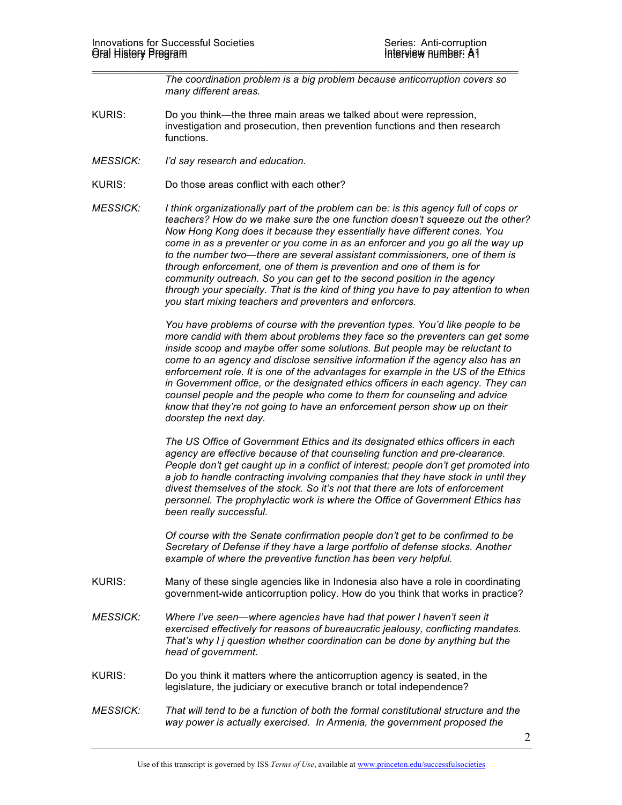*The coordination problem is a big problem because anticorruption covers so many different areas.* 

KURIS: Do you think—the three main areas we talked about were repression, investigation and prosecution, then prevention functions and then research functions.

 $\_$ 

- *MESSICK: I'd say research and education.*
- KURIS: Do those areas conflict with each other?
- *MESSICK: I think organizationally part of the problem can be: is this agency full of cops or teachers? How do we make sure the one function doesn't squeeze out the other? Now Hong Kong does it because they essentially have different cones. You come in as a preventer or you come in as an enforcer and you go all the way up to the number two—there are several assistant commissioners, one of them is through enforcement, one of them is prevention and one of them is for community outreach. So you can get to the second position in the agency through your specialty. That is the kind of thing you have to pay attention to when you start mixing teachers and preventers and enforcers.*

*You have problems of course with the prevention types. You'd like people to be more candid with them about problems they face so the preventers can get some inside scoop and maybe offer some solutions. But people may be reluctant to come to an agency and disclose sensitive information if the agency also has an enforcement role. It is one of the advantages for example in the US of the Ethics in Government office, or the designated ethics officers in each agency. They can counsel people and the people who come to them for counseling and advice know that they're not going to have an enforcement person show up on their doorstep the next day.* 

*The US Office of Government Ethics and its designated ethics officers in each agency are effective because of that counseling function and pre-clearance. People don't get caught up in a conflict of interest; people don't get promoted into a job to handle contracting involving companies that they have stock in until they divest themselves of the stock. So it's not that there are lots of enforcement personnel. The prophylactic work is where the Office of Government Ethics has been really successful.* 

*Of course with the Senate confirmation people don't get to be confirmed to be Secretary of Defense if they have a large portfolio of defense stocks. Another example of where the preventive function has been very helpful.*

- KURIS: Many of these single agencies like in Indonesia also have a role in coordinating government-wide anticorruption policy. How do you think that works in practice?
- *MESSICK: Where I've seen—where agencies have had that power I haven't seen it exercised effectively for reasons of bureaucratic jealousy, conflicting mandates. That's why I j question whether coordination can be done by anything but the head of government.*
- KURIS: Do you think it matters where the anticorruption agency is seated, in the legislature, the judiciary or executive branch or total independence?
- *MESSICK: That will tend to be a function of both the formal constitutional structure and the way power is actually exercised. In Armenia, the government proposed the*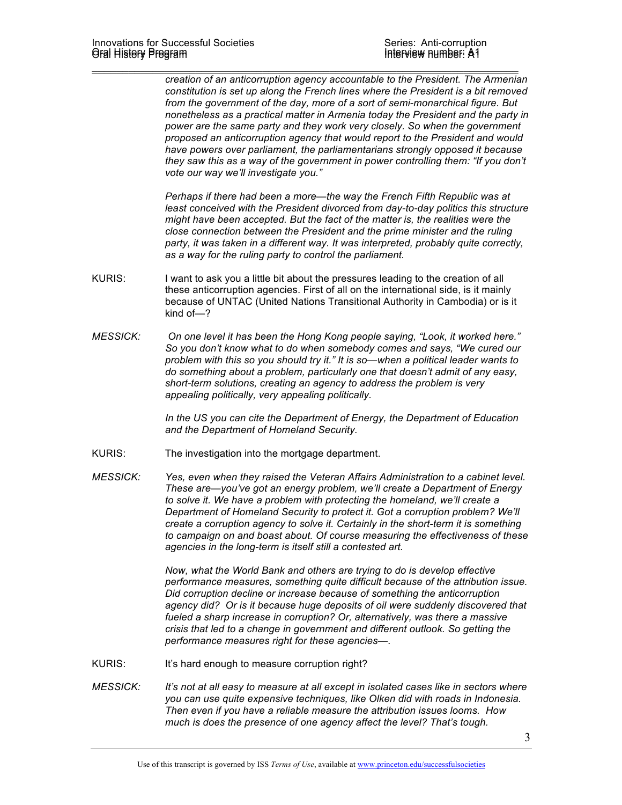*creation of an anticorruption agency accountable to the President. The Armenian constitution is set up along the French lines where the President is a bit removed from the government of the day, more of a sort of semi-monarchical figure. But nonetheless as a practical matter in Armenia today the President and the party in power are the same party and they work very closely. So when the government proposed an anticorruption agency that would report to the President and would have powers over parliament, the parliamentarians strongly opposed it because they saw this as a way of the government in power controlling them: "If you don't vote our way we'll investigate you."*

*Perhaps if there had been a more—the way the French Fifth Republic was at least conceived with the President divorced from day-to-day politics this structure might have been accepted. But the fact of the matter is, the realities were the close connection between the President and the prime minister and the ruling party, it was taken in a different way. It was interpreted, probably quite correctly, as a way for the ruling party to control the parliament.* 

KURIS: I want to ask you a little bit about the pressures leading to the creation of all these anticorruption agencies. First of all on the international side, is it mainly because of UNTAC (United Nations Transitional Authority in Cambodia) or is it kind of—?

 $\_$ 

*MESSICK: On one level it has been the Hong Kong people saying, "Look, it worked here." So you don't know what to do when somebody comes and says, "We cured our problem with this so you should try it." It is so—when a political leader wants to do something about a problem, particularly one that doesn't admit of any easy, short-term solutions, creating an agency to address the problem is very appealing politically, very appealing politically.* 

> *In the US you can cite the Department of Energy, the Department of Education and the Department of Homeland Security.*

- KURIS: The investigation into the mortgage department.
- *MESSICK: Yes, even when they raised the Veteran Affairs Administration to a cabinet level. These are—you've got an energy problem, we'll create a Department of Energy*  to solve it. We have a problem with protecting the homeland, we'll create a *Department of Homeland Security to protect it. Got a corruption problem? We'll create a corruption agency to solve it. Certainly in the short-term it is something to campaign on and boast about. Of course measuring the effectiveness of these agencies in the long-term is itself still a contested art.*

*Now, what the World Bank and others are trying to do is develop effective performance measures, something quite difficult because of the attribution issue. Did corruption decline or increase because of something the anticorruption agency did? Or is it because huge deposits of oil were suddenly discovered that fueled a sharp increase in corruption? Or, alternatively, was there a massive crisis that led to a change in government and different outlook. So getting the performance measures right for these agencies—.* 

- KURIS: It's hard enough to measure corruption right?
- *MESSICK: It's not at all easy to measure at all except in isolated cases like in sectors where you can use quite expensive techniques, like Olken did with roads in Indonesia. Then even if you have a reliable measure the attribution issues looms. How much is does the presence of one agency affect the level? That's tough.*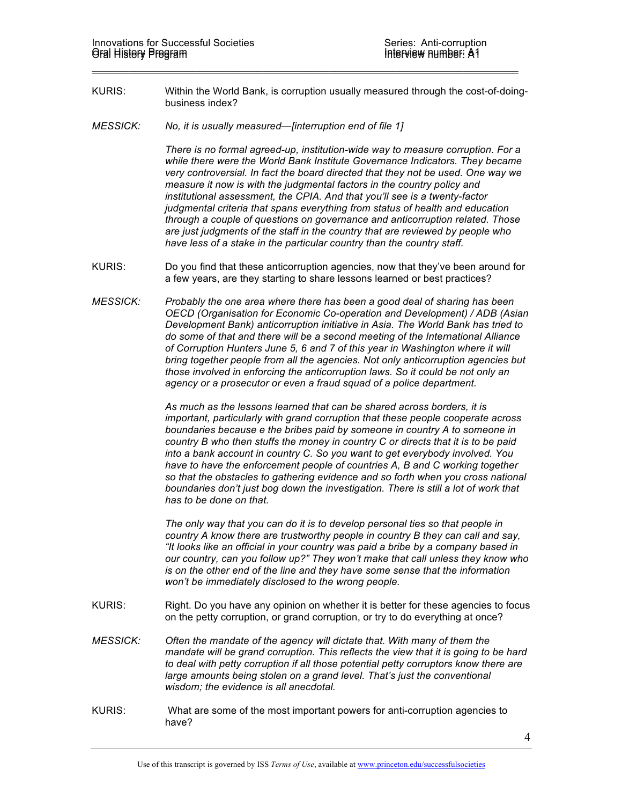KURIS: Within the World Bank, is corruption usually measured through the cost-of-doingbusiness index?

 $\_$ 

*MESSICK: No, it is usually measured—[interruption end of file 1]*

*There is no formal agreed-up, institution-wide way to measure corruption. For a while there were the World Bank Institute Governance Indicators. They became very controversial. In fact the board directed that they not be used. One way we measure it now is with the judgmental factors in the country policy and institutional assessment, the CPIA. And that you'll see is a twenty-factor judgmental criteria that spans everything from status of health and education through a couple of questions on governance and anticorruption related. Those are just judgments of the staff in the country that are reviewed by people who have less of a stake in the particular country than the country staff.* 

- KURIS: Do you find that these anticorruption agencies, now that they've been around for a few years, are they starting to share lessons learned or best practices?
- *MESSICK: Probably the one area where there has been a good deal of sharing has been OECD (Organisation for Economic Co-operation and Development) / ADB (Asian Development Bank) anticorruption initiative in Asia. The World Bank has tried to do some of that and there will be a second meeting of the International Alliance of Corruption Hunters June 5, 6 and 7 of this year in Washington where it will bring together people from all the agencies. Not only anticorruption agencies but those involved in enforcing the anticorruption laws. So it could be not only an agency or a prosecutor or even a fraud squad of a police department.*

*As much as the lessons learned that can be shared across borders, it is important, particularly with grand corruption that these people cooperate across boundaries because e the bribes paid by someone in country A to someone in country B who then stuffs the money in country C or directs that it is to be paid into a bank account in country C. So you want to get everybody involved. You have to have the enforcement people of countries A, B and C working together so that the obstacles to gathering evidence and so forth when you cross national boundaries don't just bog down the investigation. There is still a lot of work that has to be done on that.* 

*The only way that you can do it is to develop personal ties so that people in country A know there are trustworthy people in country B they can call and say, "It looks like an official in your country was paid a bribe by a company based in our country, can you follow up?" They won't make that call unless they know who is on the other end of the line and they have some sense that the information won't be immediately disclosed to the wrong people.* 

- KURIS: Right. Do you have any opinion on whether it is better for these agencies to focus on the petty corruption, or grand corruption, or try to do everything at once?
- *MESSICK: Often the mandate of the agency will dictate that. With many of them the mandate will be grand corruption. This reflects the view that it is going to be hard to deal with petty corruption if all those potential petty corruptors know there are large amounts being stolen on a grand level. That's just the conventional wisdom; the evidence is all anecdotal.*
- KURIS: What are some of the most important powers for anti-corruption agencies to have?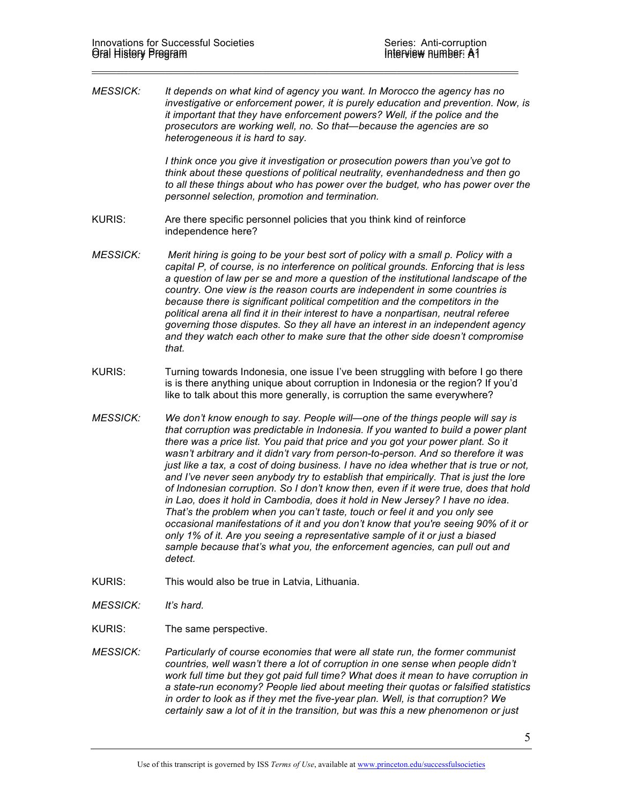*MESSICK: It depends on what kind of agency you want. In Morocco the agency has no investigative or enforcement power, it is purely education and prevention. Now, is it important that they have enforcement powers? Well, if the police and the prosecutors are working well, no. So that—because the agencies are so heterogeneous it is hard to say.* 

 $\_$ 

*I think once you give it investigation or prosecution powers than you've got to think about these questions of political neutrality, evenhandedness and then go to all these things about who has power over the budget, who has power over the personnel selection, promotion and termination.* 

- KURIS: Are there specific personnel policies that you think kind of reinforce independence here?
- *MESSICK: Merit hiring is going to be your best sort of policy with a small p. Policy with a capital P, of course, is no interference on political grounds. Enforcing that is less a question of law per se and more a question of the institutional landscape of the country. One view is the reason courts are independent in some countries is because there is significant political competition and the competitors in the political arena all find it in their interest to have a nonpartisan, neutral referee governing those disputes. So they all have an interest in an independent agency and they watch each other to make sure that the other side doesn't compromise that.*
- KURIS: Turning towards Indonesia, one issue I've been struggling with before I go there is is there anything unique about corruption in Indonesia or the region? If you'd like to talk about this more generally, is corruption the same everywhere?
- *MESSICK: We don't know enough to say. People will—one of the things people will say is that corruption was predictable in Indonesia. If you wanted to build a power plant there was a price list. You paid that price and you got your power plant. So it wasn't arbitrary and it didn't vary from person-to-person. And so therefore it was just like a tax, a cost of doing business. I have no idea whether that is true or not, and I've never seen anybody try to establish that empirically. That is just the lore of Indonesian corruption. So I don't know then, even if it were true, does that hold in Lao, does it hold in Cambodia, does it hold in New Jersey? I have no idea. That's the problem when you can't taste, touch or feel it and you only see occasional manifestations of it and you don't know that you're seeing 90% of it or only 1% of it. Are you seeing a representative sample of it or just a biased sample because that's what you, the enforcement agencies, can pull out and detect.*
- KURIS: This would also be true in Latvia, Lithuania.
- *MESSICK: It's hard.*
- KURIS: The same perspective.
- *MESSICK: Particularly of course economies that were all state run, the former communist countries, well wasn't there a lot of corruption in one sense when people didn't work full time but they got paid full time? What does it mean to have corruption in a state-run economy? People lied about meeting their quotas or falsified statistics in order to look as if they met the five-year plan. Well, is that corruption? We certainly saw a lot of it in the transition, but was this a new phenomenon or just*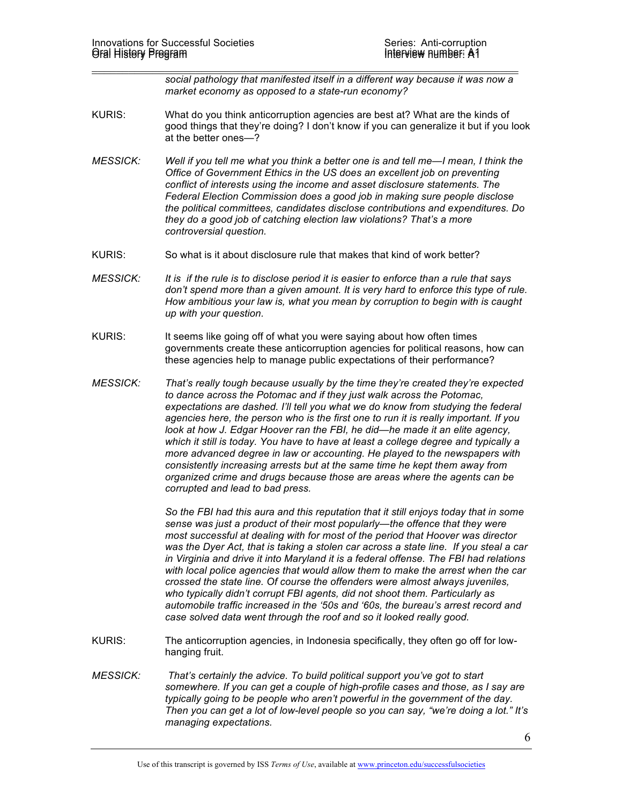$\_$ *social pathology that manifested itself in a different way because it was now a market economy as opposed to a state-run economy?* 

- KURIS: What do you think anticorruption agencies are best at? What are the kinds of good things that they're doing? I don't know if you can generalize it but if you look at the better ones—?
- *MESSICK: Well if you tell me what you think a better one is and tell me—I mean, I think the Office of Government Ethics in the US does an excellent job on preventing conflict of interests using the income and asset disclosure statements. The Federal Election Commission does a good job in making sure people disclose the political committees, candidates disclose contributions and expenditures. Do they do a good job of catching election law violations? That's a more controversial question.*
- KURIS: So what is it about disclosure rule that makes that kind of work better?
- *MESSICK: It is if the rule is to disclose period it is easier to enforce than a rule that says don't spend more than a given amount. It is very hard to enforce this type of rule. How ambitious your law is, what you mean by corruption to begin with is caught up with your question.*
- KURIS: It seems like going off of what you were saying about how often times governments create these anticorruption agencies for political reasons, how can these agencies help to manage public expectations of their performance?
- *MESSICK: That's really tough because usually by the time they're created they're expected to dance across the Potomac and if they just walk across the Potomac, expectations are dashed. I'll tell you what we do know from studying the federal agencies here, the person who is the first one to run it is really important. If you look at how J. Edgar Hoover ran the FBI, he did—he made it an elite agency, which it still is today. You have to have at least a college degree and typically a more advanced degree in law or accounting. He played to the newspapers with consistently increasing arrests but at the same time he kept them away from organized crime and drugs because those are areas where the agents can be corrupted and lead to bad press.*

*So the FBI had this aura and this reputation that it still enjoys today that in some sense was just a product of their most popularly—the offence that they were most successful at dealing with for most of the period that Hoover was director was the Dyer Act, that is taking a stolen car across a state line. If you steal a car in Virginia and drive it into Maryland it is a federal offense. The FBI had relations*  with local police agencies that would allow them to make the arrest when the car *crossed the state line. Of course the offenders were almost always juveniles, who typically didn't corrupt FBI agents, did not shoot them. Particularly as automobile traffic increased in the '50s and '60s, the bureau's arrest record and case solved data went through the roof and so it looked really good.* 

- KURIS: The anticorruption agencies, in Indonesia specifically, they often go off for lowhanging fruit.
- *MESSICK: That's certainly the advice. To build political support you've got to start somewhere. If you can get a couple of high-profile cases and those, as I say are typically going to be people who aren't powerful in the government of the day. Then you can get a lot of low-level people so you can say, "we're doing a lot." It's managing expectations.*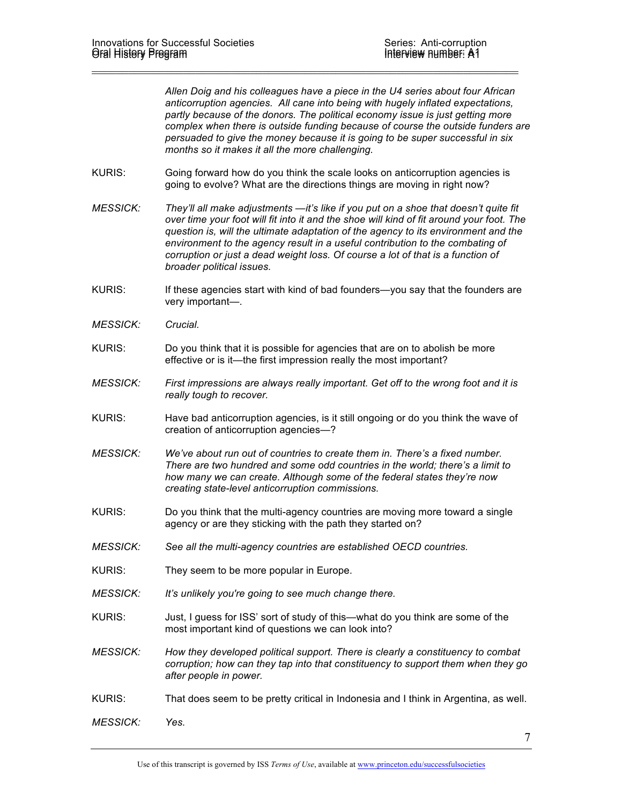*Allen Doig and his colleagues have a piece in the U4 series about four African anticorruption agencies. All cane into being with hugely inflated expectations, partly because of the donors. The political economy issue is just getting more complex when there is outside funding because of course the outside funders are persuaded to give the money because it is going to be super successful in six months so it makes it all the more challenging.*

KURIS: Going forward how do you think the scale looks on anticorruption agencies is going to evolve? What are the directions things are moving in right now?

 $\_$ 

- *MESSICK: They'll all make adjustments —it's like if you put on a shoe that doesn't quite fit over time your foot will fit into it and the shoe will kind of fit around your foot. The question is, will the ultimate adaptation of the agency to its environment and the environment to the agency result in a useful contribution to the combating of corruption or just a dead weight loss. Of course a lot of that is a function of broader political issues.*
- KURIS: If these agencies start with kind of bad founders—you say that the founders are very important—.
- *MESSICK: Crucial.*
- KURIS: Do you think that it is possible for agencies that are on to abolish be more effective or is it—the first impression really the most important?
- *MESSICK: First impressions are always really important. Get off to the wrong foot and it is really tough to recover.*
- KURIS: Have bad anticorruption agencies, is it still ongoing or do you think the wave of creation of anticorruption agencies—?
- *MESSICK: We've about run out of countries to create them in. There's a fixed number. There are two hundred and some odd countries in the world; there's a limit to how many we can create. Although some of the federal states they're now creating state-level anticorruption commissions.*
- KURIS: Do you think that the multi-agency countries are moving more toward a single agency or are they sticking with the path they started on?
- *MESSICK: See all the multi-agency countries are established OECD countries.*
- KURIS: They seem to be more popular in Europe.
- *MESSICK: It's unlikely you're going to see much change there.*
- KURIS: Just, I guess for ISS' sort of study of this—what do you think are some of the most important kind of questions we can look into?
- *MESSICK: How they developed political support. There is clearly a constituency to combat corruption; how can they tap into that constituency to support them when they go after people in power.*
- KURIS: That does seem to be pretty critical in Indonesia and I think in Argentina, as well.

*MESSICK: Yes.*